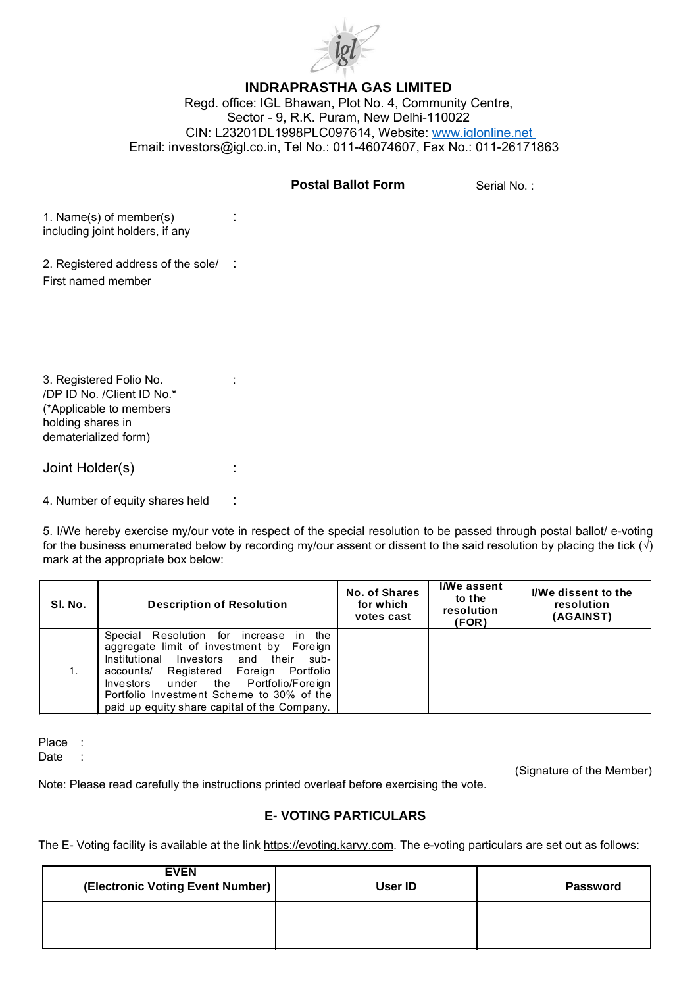

# **INDRAPRASTHA GAS LIMITED**

Regd. office: IGL Bhawan, Plot No. 4, Community Centre, Sector - 9, R.K. Puram, New Delhi-110022 CIN: L23201DL1998PLC097614, Website: www.iglonline.net Email: investors@igl.co.in, Tel No.: 011-46074607, Fax No.: 011-26171863

### **Postal Ballot Form**

Serial No. :

1. Name(s) of member(s) : including joint holders, if any

2. Registered address of the sole/ : First named member

3. Registered Folio No. **:** : /DP ID No. /Client ID No.\* (\*Applicable to members holding shares in dematerialized form)

Joint Holder(s) :

4. Number of equity shares held :

5. I/We hereby exercise my/our vote in respect of the special resolution to be passed through postal ballot/ e-voting for the business enumerated below by recording my/our assent or dissent to the said resolution by placing the tick  $(\sqrt)$ mark at the appropriate box below:

| SI. No. | <b>Description of Resolution</b>                                                                                                                                                                                                                                                                                         | No. of Shares<br>for which<br>votes cast | I/We assent<br>to the<br>resolution<br>(FOR) | <b><i>VWe dissent to the</i></b><br>resolution<br>(AGAINST) |
|---------|--------------------------------------------------------------------------------------------------------------------------------------------------------------------------------------------------------------------------------------------------------------------------------------------------------------------------|------------------------------------------|----------------------------------------------|-------------------------------------------------------------|
| 1.      | Special Resolution for increase in the<br>aggregate limit of investment by Foreign<br>Institutional<br>Investors and their<br>sub-<br>Registered Foreign<br>Portfolio<br>accounts/<br>Investors under the Portfolio/Foreign<br>Portfolio Investment Scheme to 30% of the<br>paid up equity share capital of the Company. |                                          |                                              |                                                             |

Place :

Date :

(Signature of the Member)

Note: Please read carefully the instructions printed overleaf before exercising the vote.

## **E- VOTING PARTICULARS**

The E- Voting facility is available at the link https://evoting.karvy.com. The e-voting particulars are set out as follows:

| <b>EVEN</b><br>(Electronic Voting Event Number) | <b>User ID</b> | <b>Password</b> |
|-------------------------------------------------|----------------|-----------------|
|                                                 |                |                 |